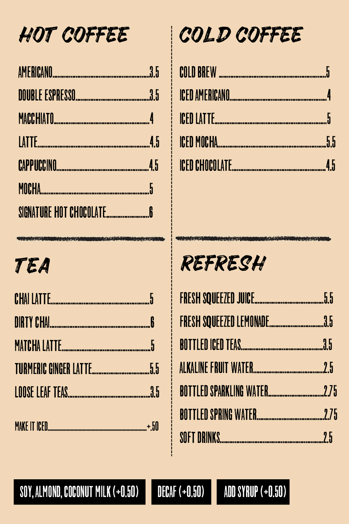HOT COFFEE

#### $35$ AMERICANO

DOUBLE ESPRESSO 35

**MACCHIATO** 

COLD COFFEE



ICED AMERICANO

ICED LATTE

**ICED MOCHA** 



# 



## CHAI LATTE

MATCHA LATTE.........................

# REFRESH



FRESH SQUEEZED LEMONADE

## TURMERIC GINGER LATTE

## 

#### $. + 50$

ALKALINE FRUIT WATER BOTTLED SPARKLING WATER





#### SOY, ALMOND, COCONUT MILK (+0.50)



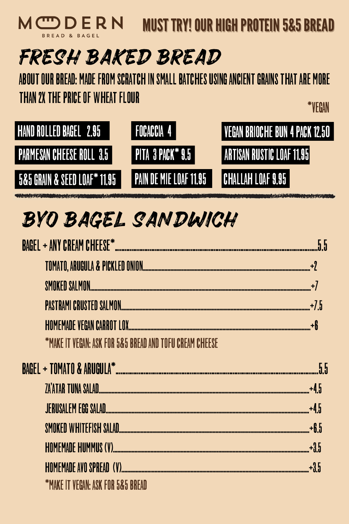#### MCDERN **MUST TRY! OUR HIGH PROTEIN 5&5 BREAD** BREAD & BAGEL

# FRESH BAKED BREAD ABOUT OUR BREAD: MADE FROM SCRATCH IN SMALL BATCHES USING ANCIENT GRAINS THAT ARE MORE THAN 2X THE PRICE OF WHEAT FLOUR \*VEGAN



<u> Madagaran masjid ya maanaan ahaan a</u>

# BYO BAGEL SANDWICH

# BAGEL + ANY CREAM CHEESE\*

SMOKED SALMON

PASTRAMI CRUSTED SALMON

\*MAKE IT VEGAN: ASK FOR 5&5 BREAD AND TOFU CREAM CHEESE







|--|--|

|--|--|--|

|  |  | $+3.5$ |  |
|--|--|--------|--|
|--|--|--------|--|

**\*MAKE IT VEGAN: ASK FOR 5&5 BREAD**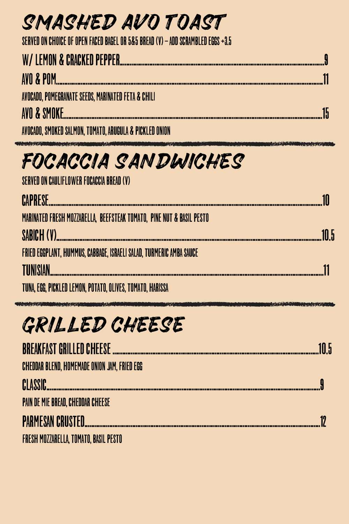# SMASHED AVO TOAST SERVED ON CHOICE OF OPEN FACED BAGEL OR 5&5 BREAD (V) - ADD SCRAMBLED EGGS +3.5

# 

AVO & POM AVOCADO, POMEGRANATE SEEDS, MARINATED FETA & CHILI AVO & SMOKE...

AVOCADO, SMOKED SALMON, TOMATO, ARUGULA & PICKLED ONION

# FOCACCIA SANDWICHES

SERVED ON CAULIFLOWER FOCACCIA BREAD (V)

# CAPRESE MARINATED FRESH MOZZARELLA, BEEFSTEAK TOMATO, PINE NUT & BASIL PESTO SABIOH (V) FRIED EGGPLANT, HUMMUS, CABBAGE, ISRAELI SALAD, TURMERIC AMBA SAUCE TIINISIAN

TUNA, EGG, PICKLED LEMON, POTATO, OLIVES, TOMATO, HARISSA

# GRILLED CHEEGE

### BREAKFAST GRILLED CHEESE ......................

#### CHEDDAR BLEND, HOMEMADE ONION JAM, FRIED EGG

### PAIN DE MIE BREAD, CHEDDAR CHEESE

CLASSIC.

## PARMESAN CRUSTED...

#### FRESH MOZZARELLA, TOMATO, BASIL PESTO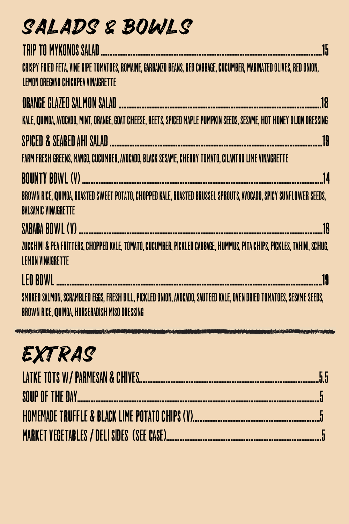



SABABA BOWL (V) ZUCCHINI & PEA FRITTERS, CHOPPED KALE, TOMATO, CUCUMBER, PICKLED CABBAGE, HUMMUS, PITA CHIPS, PICKLES, TAHINI, SCHUG, LEMONVINAIGRETTE

### BROWN RICE, QUINOA, ROASTED SWEET POTATO, CHOPPED KALE, ROASTED BRUSSEL SPROUTS, AVOCADO, SPICY SUNFLOWER SEEDS, BALSAMIC VINAIGRETTE

# LEOBOWL .................................................................................................................................................................19 SMOKED SALMON, SCRAMBLED EGGS, FRESH DILL, PICKLED ONION, AVOCADO, SAUTEED KALE, OVEN DRIED TOMATOES, SESAME SEEDS, BROWN RICE, QUINOA, HORSERADISH MISO DRESSING

BOUNTYBOWL (V) ..................................................................................................................................................14



# LATKETOTS W/PARMESAN&CHIVES.............................................................................................................5.5 SOUPOFTHEDAY...................................................................................................................................................5 HOMEMADETRUFFLE&BLACKLIMEPOTATOCHIPS (V).............................................................................5 MARKETVEGETABLES/DELI SIDES (SEE CASE)..............................................................................................5